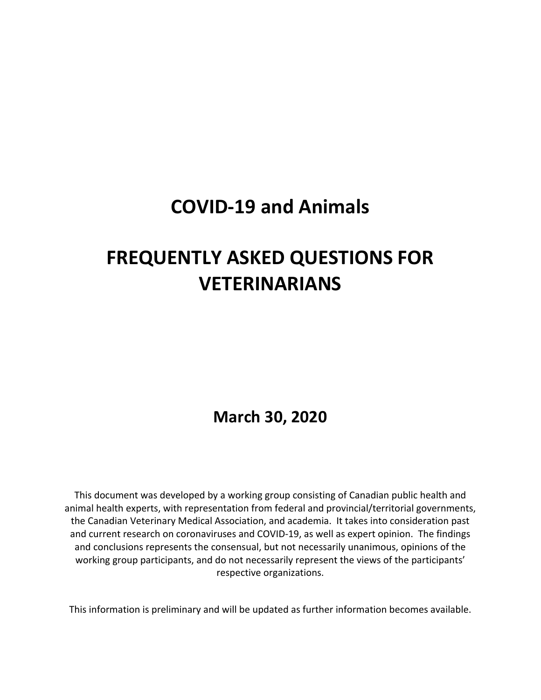## **COVID‐19 and Animals**

# **FREQUENTLY ASKED QUESTIONS FOR VETERINARIANS**

 **March 30, 2020**

This document was developed by a working group consisting of Canadian public health and animal health experts, with representation from federal and provincial/territorial governments, the Canadian Veterinary Medical Association, and academia. It takes into consideration past and current research on coronaviruses and COVID‐19, as well as expert opinion. The findings and conclusions represents the consensual, but not necessarily unanimous, opinions of the working group participants, and do not necessarily represent the views of the participants' respective organizations.

This information is preliminary and will be updated as further information becomes available.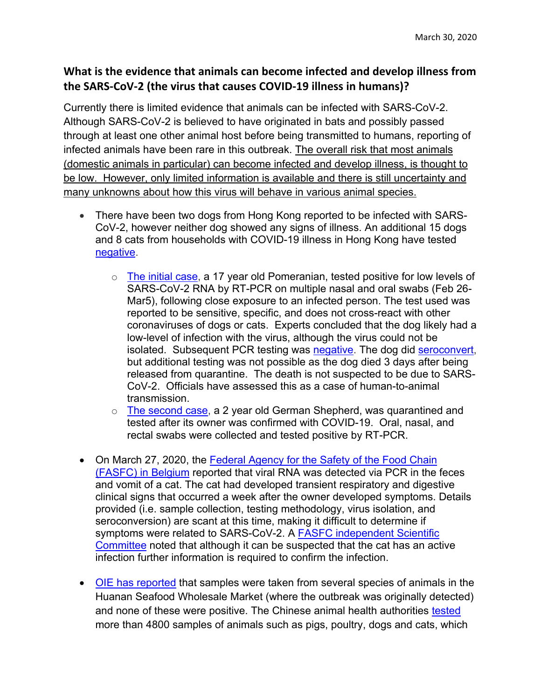### **What is the evidence that animals can become infected and develop illness from the SARS‐CoV‐2 (the virus that causes COVID‐19 illness in humans)?**

Currently there is limited evidence that animals can be infected with SARS-CoV-2. Although SARS-CoV-2 is believed to have originated in bats and possibly passed through at least one other animal host before being transmitted to humans, reporting of infected animals have been rare in this outbreak. The overall risk that most animals (domestic animals in particular) can become infected and develop illness, is thought to be low. However, only limited information is available and there is still uncertainty and many unknowns about how this virus will behave in various animal species.

- There have been two dogs from Hong Kong reported to be infected with SARS-CoV-2, however neither dog showed any signs of illness. An additional 15 dogs and 8 cats from households with COVID-19 illness in Hong Kong have tested negative.
	- $\circ$  The initial case, a 17 year old Pomeranian, tested positive for low levels of SARS-CoV-2 RNA by RT-PCR on multiple nasal and oral swabs (Feb 26- Mar5), following close exposure to an infected person. The test used was reported to be sensitive, specific, and does not cross-react with other coronaviruses of dogs or cats. Experts concluded that the dog likely had a low-level of infection with the virus, although the virus could not be isolated. Subsequent PCR testing was negative. The dog did seroconvert, but additional testing was not possible as the dog died 3 days after being released from quarantine. The death is not suspected to be due to SARS-CoV-2. Officials have assessed this as a case of human-to-animal transmission.
	- $\circ$  The second case, a 2 year old German Shepherd, was quarantined and tested after its owner was confirmed with COVID-19. Oral, nasal, and rectal swabs were collected and tested positive by RT-PCR.
- On March 27, 2020, the Federal Agency for the Safety of the Food Chain (FASFC) in Belgium reported that viral RNA was detected via PCR in the feces and vomit of a cat. The cat had developed transient respiratory and digestive clinical signs that occurred a week after the owner developed symptoms. Details provided (i.e. sample collection, testing methodology, virus isolation, and seroconversion) are scant at this time, making it difficult to determine if symptoms were related to SARS-CoV-2. A FASFC independent Scientific Committee noted that although it can be suspected that the cat has an active infection further information is required to confirm the infection.
- OIE has reported that samples were taken from several species of animals in the Huanan Seafood Wholesale Market (where the outbreak was originally detected) and none of these were positive. The Chinese animal health authorities tested more than 4800 samples of animals such as pigs, poultry, dogs and cats, which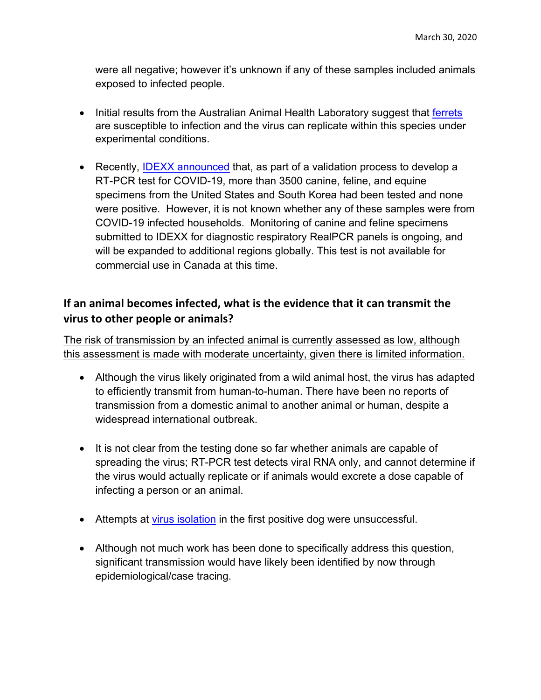were all negative; however it's unknown if any of these samples included animals exposed to infected people.

- Initial results from the Australian Animal Health Laboratory suggest that ferrets are susceptible to infection and the virus can replicate within this species under experimental conditions.
- Recently, IDEXX announced that, as part of a validation process to develop a RT-PCR test for COVID-19, more than 3500 canine, feline, and equine specimens from the United States and South Korea had been tested and none were positive. However, it is not known whether any of these samples were from COVID-19 infected households. Monitoring of canine and feline specimens submitted to IDEXX for diagnostic respiratory RealPCR panels is ongoing, and will be expanded to additional regions globally. This test is not available for commercial use in Canada at this time.

#### **If an animal becomes infected, what is the evidence that it can transmit the virus to other people or animals?**

The risk of transmission by an infected animal is currently assessed as low, although this assessment is made with moderate uncertainty, given there is limited information.

- Although the virus likely originated from a wild animal host, the virus has adapted to efficiently transmit from human-to-human. There have been no reports of transmission from a domestic animal to another animal or human, despite a widespread international outbreak.
- It is not clear from the testing done so far whether animals are capable of spreading the virus; RT-PCR test detects viral RNA only, and cannot determine if the virus would actually replicate or if animals would excrete a dose capable of infecting a person or an animal.
- Attempts at virus isolation in the first positive dog were unsuccessful.
- Although not much work has been done to specifically address this question, significant transmission would have likely been identified by now through epidemiological/case tracing.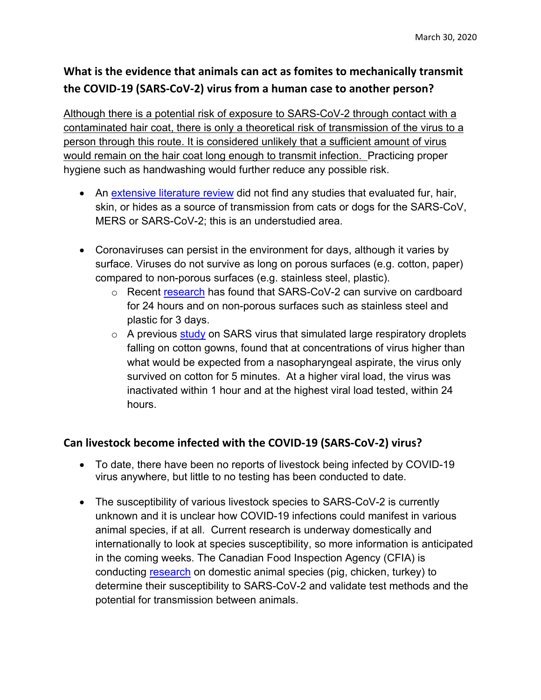## **What is the evidence that animals can act as fomites to mechanically transmit the COVID‐19 (SARS‐CoV‐2) virus from a human case to another person?**

Although there is a potential risk of exposure to SARS-CoV-2 through contact with a contaminated hair coat, there is only a theoretical risk of transmission of the virus to a person through this route. It is considered unlikely that a sufficient amount of virus would remain on the hair coat long enough to transmit infection. Practicing proper hygiene such as handwashing would further reduce any possible risk.

- An extensive literature review did not find any studies that evaluated fur, hair, skin, or hides as a source of transmission from cats or dogs for the SARS-CoV, MERS or SARS-CoV-2; this is an understudied area.
- Coronaviruses can persist in the environment for days, although it varies by surface. Viruses do not survive as long on porous surfaces (e.g. cotton, paper) compared to non-porous surfaces (e.g. stainless steel, plastic).
	- o Recent research has found that SARS-CoV-2 can survive on cardboard for 24 hours and on non-porous surfaces such as stainless steel and plastic for 3 days.
	- $\circ$  A previous study on SARS virus that simulated large respiratory droplets falling on cotton gowns, found that at concentrations of virus higher than what would be expected from a nasopharyngeal aspirate, the virus only survived on cotton for 5 minutes. At a higher viral load, the virus was inactivated within 1 hour and at the highest viral load tested, within 24 hours.

#### **Can livestock become infected with the COVID‐19 (SARS‐CoV‐2) virus?**

- To date, there have been no reports of livestock being infected by COVID-19 virus anywhere, but little to no testing has been conducted to date.
- The susceptibility of various livestock species to SARS-CoV-2 is currently unknown and it is unclear how COVID-19 infections could manifest in various animal species, if at all. Current research is underway domestically and internationally to look at species susceptibility, so more information is anticipated in the coming weeks. The Canadian Food Inspection Agency (CFIA) is conducting research on domestic animal species (pig, chicken, turkey) to determine their susceptibility to SARS-CoV-2 and validate test methods and the potential for transmission between animals.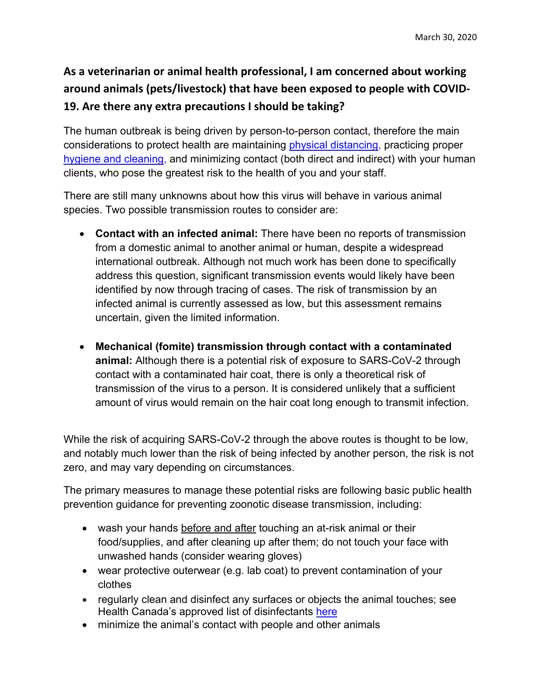## **As a veterinarian or animal health professional, I am concerned about working around animals (pets/livestock) that have been exposed to people with COVID‐ 19. Are there any extra precautions I should be taking?**

The human outbreak is being driven by person-to-person contact, therefore the main considerations to protect health are maintaining physical distancing, practicing proper hygiene and cleaning, and minimizing contact (both direct and indirect) with your human clients, who pose the greatest risk to the health of you and your staff.

There are still many unknowns about how this virus will behave in various animal species. Two possible transmission routes to consider are:

- **Contact with an infected animal:** There have been no reports of transmission from a domestic animal to another animal or human, despite a widespread international outbreak. Although not much work has been done to specifically address this question, significant transmission events would likely have been identified by now through tracing of cases. The risk of transmission by an infected animal is currently assessed as low, but this assessment remains uncertain, given the limited information.
- **Mechanical (fomite) transmission through contact with a contaminated animal:** Although there is a potential risk of exposure to SARS-CoV-2 through contact with a contaminated hair coat, there is only a theoretical risk of transmission of the virus to a person. It is considered unlikely that a sufficient amount of virus would remain on the hair coat long enough to transmit infection.

While the risk of acquiring SARS-CoV-2 through the above routes is thought to be low, and notably much lower than the risk of being infected by another person, the risk is not zero, and may vary depending on circumstances.

The primary measures to manage these potential risks are following basic public health prevention guidance for preventing zoonotic disease transmission, including:

- wash your hands before and after touching an at-risk animal or their food/supplies, and after cleaning up after them; do not touch your face with unwashed hands (consider wearing gloves)
- wear protective outerwear (e.g. lab coat) to prevent contamination of your clothes
- regularly clean and disinfect any surfaces or objects the animal touches; see Health Canada's approved list of disinfectants here
- minimize the animal's contact with people and other animals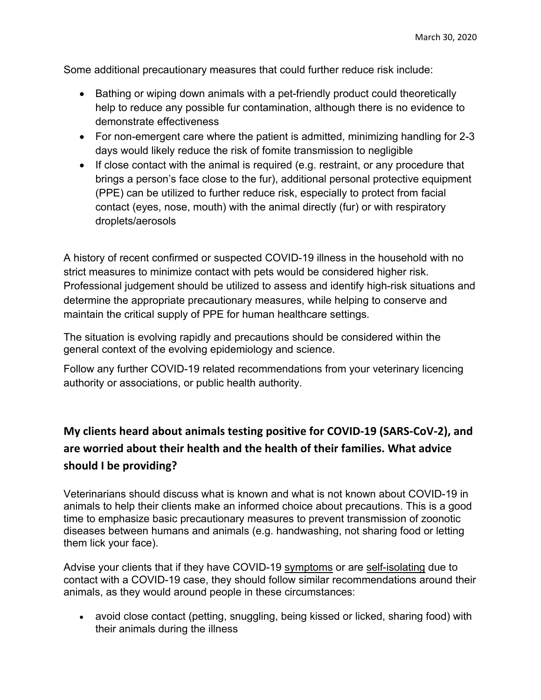Some additional precautionary measures that could further reduce risk include:

- Bathing or wiping down animals with a pet-friendly product could theoretically help to reduce any possible fur contamination, although there is no evidence to demonstrate effectiveness
- For non-emergent care where the patient is admitted, minimizing handling for 2-3 days would likely reduce the risk of fomite transmission to negligible
- If close contact with the animal is required (e.g. restraint, or any procedure that brings a person's face close to the fur), additional personal protective equipment (PPE) can be utilized to further reduce risk, especially to protect from facial contact (eyes, nose, mouth) with the animal directly (fur) or with respiratory droplets/aerosols

A history of recent confirmed or suspected COVID-19 illness in the household with no strict measures to minimize contact with pets would be considered higher risk. Professional judgement should be utilized to assess and identify high-risk situations and determine the appropriate precautionary measures, while helping to conserve and maintain the critical supply of PPE for human healthcare settings.

The situation is evolving rapidly and precautions should be considered within the general context of the evolving epidemiology and science.

Follow any further COVID-19 related recommendations from your veterinary licencing authority or associations, or public health authority.

## **My clients heard about animals testing positive for COVID‐19 (SARS‐CoV‐2), and are worried about their health and the health of their families. What advice should I be providing?**

Veterinarians should discuss what is known and what is not known about COVID-19 in animals to help their clients make an informed choice about precautions. This is a good time to emphasize basic precautionary measures to prevent transmission of zoonotic diseases between humans and animals (e.g. handwashing, not sharing food or letting them lick your face).

Advise your clients that if they have COVID-19 symptoms or are self-isolating due to contact with a COVID-19 case, they should follow similar recommendations around their animals, as they would around people in these circumstances:

 avoid close contact (petting, snuggling, being kissed or licked, sharing food) with their animals during the illness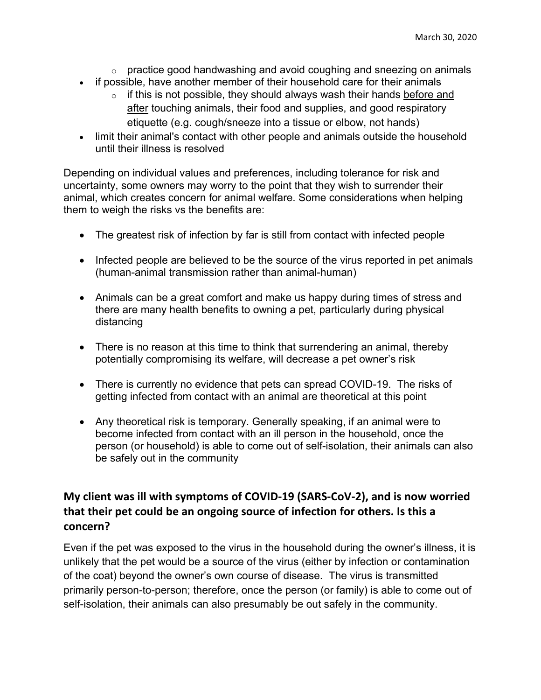- $\circ$  practice good handwashing and avoid coughing and sneezing on animals
- if possible, have another member of their household care for their animals
	- $\circ$  if this is not possible, they should always wash their hands before and after touching animals, their food and supplies, and good respiratory etiquette (e.g. cough/sneeze into a tissue or elbow, not hands)
- limit their animal's contact with other people and animals outside the household until their illness is resolved

Depending on individual values and preferences, including tolerance for risk and uncertainty, some owners may worry to the point that they wish to surrender their animal, which creates concern for animal welfare. Some considerations when helping them to weigh the risks vs the benefits are:

- The greatest risk of infection by far is still from contact with infected people
- Infected people are believed to be the source of the virus reported in pet animals (human-animal transmission rather than animal-human)
- Animals can be a great comfort and make us happy during times of stress and there are many health benefits to owning a pet, particularly during physical distancing
- There is no reason at this time to think that surrendering an animal, thereby potentially compromising its welfare, will decrease a pet owner's risk
- There is currently no evidence that pets can spread COVID-19. The risks of getting infected from contact with an animal are theoretical at this point
- Any theoretical risk is temporary. Generally speaking, if an animal were to become infected from contact with an ill person in the household, once the person (or household) is able to come out of self-isolation, their animals can also be safely out in the community

### **My client was ill with symptoms of COVID‐19 (SARS‐CoV‐2), and is now worried that their pet could be an ongoing source of infection for others. Is this a concern?**

Even if the pet was exposed to the virus in the household during the owner's illness, it is unlikely that the pet would be a source of the virus (either by infection or contamination of the coat) beyond the owner's own course of disease. The virus is transmitted primarily person-to-person; therefore, once the person (or family) is able to come out of self-isolation, their animals can also presumably be out safely in the community.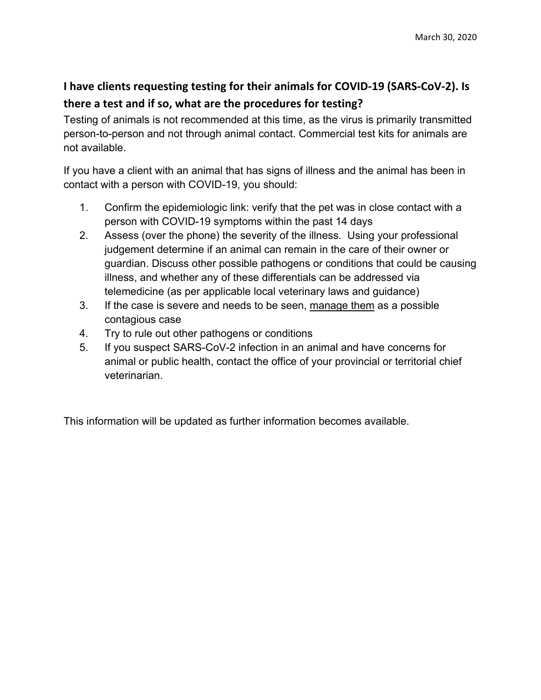## **I have clients requesting testing for their animals for COVID‐19 (SARS‐CoV‐2). Is there a test and if so, what are the procedures for testing?**

Testing of animals is not recommended at this time, as the virus is primarily transmitted person-to-person and not through animal contact. Commercial test kits for animals are not available.

If you have a client with an animal that has signs of illness and the animal has been in contact with a person with COVID-19, you should:

- 1. Confirm the epidemiologic link: verify that the pet was in close contact with a person with COVID-19 symptoms within the past 14 days
- 2. Assess (over the phone) the severity of the illness. Using your professional judgement determine if an animal can remain in the care of their owner or guardian. Discuss other possible pathogens or conditions that could be causing illness, and whether any of these differentials can be addressed via telemedicine (as per applicable local veterinary laws and guidance)
- 3. If the case is severe and needs to be seen, manage them as a possible contagious case
- 4. Try to rule out other pathogens or conditions
- 5. If you suspect SARS-CoV-2 infection in an animal and have concerns for animal or public health, contact the office of your provincial or territorial chief veterinarian.

This information will be updated as further information becomes available.